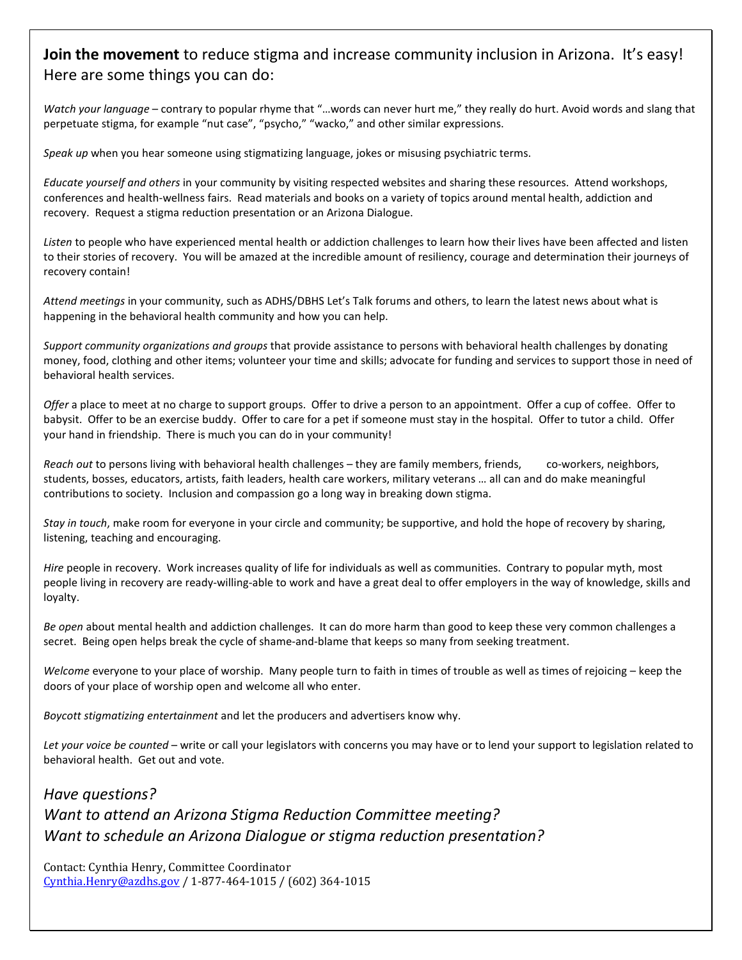### **Join the movement** to reduce stigma and increase community inclusion in Arizona. It's easy! Here are some things you can do:

*Watch your language* – contrary to popular rhyme that "…words can never hurt me," they really do hurt. Avoid words and slang that perpetuate stigma, for example "nut case", "psycho," "wacko," and other similar expressions.

*Speak up* when you hear someone using stigmatizing language, jokes or misusing psychiatric terms.

*Educate yourself and others* in your community by visiting respected websites and sharing these resources. Attend workshops, conferences and health-wellness fairs. Read materials and books on a variety of topics around mental health, addiction and recovery. Request a stigma reduction presentation or an Arizona Dialogue.

*Listen* to people who have experienced mental health or addiction challenges to learn how their lives have been affected and listen to their stories of recovery. You will be amazed at the incredible amount of resiliency, courage and determination their journeys of recovery contain!

*Attend meetings* in your community, such as ADHS/DBHS Let's Talk forums and others, to learn the latest news about what is happening in the behavioral health community and how you can help.

*Support community organizations and groups* that provide assistance to persons with behavioral health challenges by donating money, food, clothing and other items; volunteer your time and skills; advocate for funding and services to support those in need of behavioral health services.

*Offer* a place to meet at no charge to support groups. Offer to drive a person to an appointment. Offer a cup of coffee. Offer to babysit. Offer to be an exercise buddy. Offer to care for a pet if someone must stay in the hospital. Offer to tutor a child. Offer your hand in friendship. There is much you can do in your community!

*Reach out* to persons living with behavioral health challenges – they are family members, friends, co-workers, neighbors, students, bosses, educators, artists, faith leaders, health care workers, military veterans … all can and do make meaningful contributions to society. Inclusion and compassion go a long way in breaking down stigma.

*Stay in touch*, make room for everyone in your circle and community; be supportive, and hold the hope of recovery by sharing, listening, teaching and encouraging.

*Hire* people in recovery. Work increases quality of life for individuals as well as communities. Contrary to popular myth, most people living in recovery are ready-willing-able to work and have a great deal to offer employers in the way of knowledge, skills and loyalty.

*Be open* about mental health and addiction challenges. It can do more harm than good to keep these very common challenges a secret. Being open helps break the cycle of shame-and-blame that keeps so many from seeking treatment.

*Welcome* everyone to your place of worship. Many people turn to faith in times of trouble as well as times of rejoicing – keep the doors of your place of worship open and welcome all who enter.

*Boycott stigmatizing entertainment* and let the producers and advertisers know why.

*Let your voice be counted* – write or call your legislators with concerns you may have or to lend your support to legislation related to behavioral health. Get out and vote.

*Have questions? Want to attend an Arizona Stigma Reduction Committee meeting? Want to schedule an Arizona Dialogue or stigma reduction presentation?* 

Contact: Cynthia Henry, Committee Coordinator [Cynthia.Henry@azdhs.gov](mailto:Cynthia.Henry@azdhs.gov) / 1-877-464-1015 / (602) 364-1015